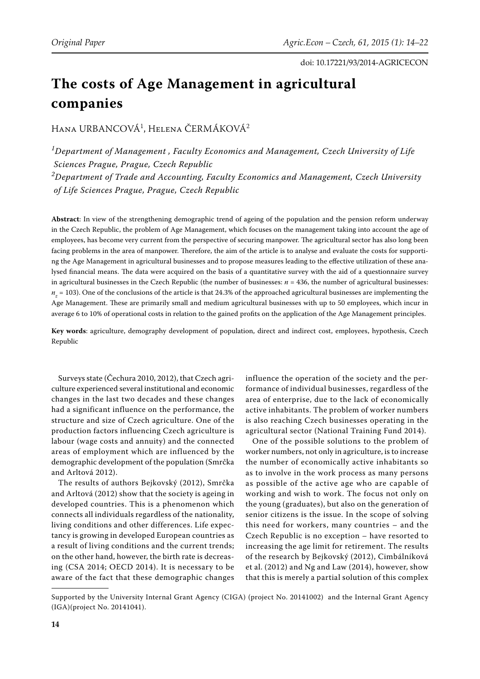# **The costs of Age Management in agricultural companies**

Hana URBANCOVÁ<sup>1</sup>, Helena ČERMÁKOVÁ<sup>2</sup>

*1 Department of Management , Faculty Economics and Management, Czech University of Life Sciences Prague, Prague, Czech Republic 2 Department of Trade and Accounting, Faculty Economics and Management, Czech University* 

 *of Life Sciences Prague, Prague, Czech Republic*

**Abstract**: In view of the strengthening demographic trend of ageing of the population and the pension reform underway in the Czech Republic, the problem of Age Management, which focuses on the management taking into account the age of employees, has become very current from the perspective of securing manpower. The agricultural sector has also long been facing problems in the area of manpower. Therefore, the aim of the article is to analyse and evaluate the costs for supporting the Age Management in agricultural businesses and to propose measures leading to the effective utilization of these analysed financial means. The data were acquired on the basis of a quantitative survey with the aid of a questionnaire survey in agricultural businesses in the Czech Republic (the number of businesses: *n* = 436, the number of agricultural businesses:  $n_z$  = 103). One of the conclusions of the article is that 24.3% of the approached agricultural businesses are implementing the Age Management. These are primarily small and medium agricultural businesses with up to 50 employees, which incur in average 6 to 10% of operational costs in relation to the gained profits on the application of the Age Management principles.

**Key words**: agriculture, demography development of population, direct and indirect cost, employees, hypothesis, Czech Republic

Surveys state (Čechura 2010, 2012), that Czech agriculture experienced several institutional and economic changes in the last two decades and these changes had a significant influence on the performance, the structure and size of Czech agriculture. One of the production factors influencing Czech agriculture is labour (wage costs and annuity) and the connected areas of employment which are influenced by the demographic development of the population (Smrčka and Arltová 2012).

The results of authors Bejkovský (2012), Smrčka and Arltová (2012) show that the society is ageing in developed countries. This is a phenomenon which connects all individuals regardless of the nationality, living conditions and other differences. Life expectancy is growing in developed European countries as a result of living conditions and the current trends; on the other hand, however, the birth rate is decreasing (CSA 2014; OECD 2014). It is necessary to be aware of the fact that these demographic changes

influence the operation of the society and the performance of individual businesses, regardless of the area of enterprise, due to the lack of economically active inhabitants. The problem of worker numbers is also reaching Czech businesses operating in the agricultural sector (National Training Fund 2014).

One of the possible solutions to the problem of worker numbers, not only in agriculture, is to increase the number of economically active inhabitants so as to involve in the work process as many persons as possible of the active age who are capable of working and wish to work. The focus not only on the young (graduates), but also on the generation of senior citizens is the issue. In the scope of solving this need for workers, many countries – and the Czech Republic is no exception – have resorted to increasing the age limit for retirement. The results of the research by Bejkovský (2012), Cimbálníková et al. (2012) and Ng and Law (2014), however, show that this is merely a partial solution of this complex

Supported by the University Internal Grant Agency (CIGA) (project No. 20141002) and the Internal Grant Agency (IGA)(project No. 20141041).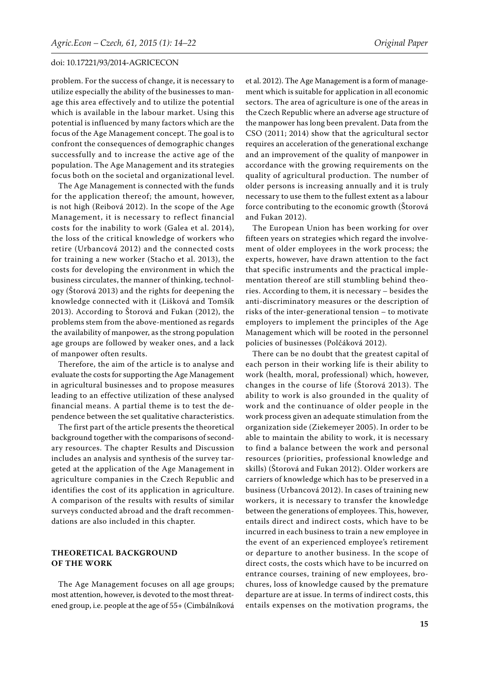problem. For the success of change, it is necessary to utilize especially the ability of the businesses to manage this area effectively and to utilize the potential which is available in the labour market. Using this potential is influenced by many factors which are the focus of the Age Management concept. The goal is to confront the consequences of demographic changes successfully and to increase the active age of the population. The Age Management and its strategies focus both on the societal and organizational level.

The Age Management is connected with the funds for the application thereof; the amount, however, is not high (Reibová 2012). In the scope of the Age Management, it is necessary to reflect financial costs for the inability to work (Galea et al. 2014), the loss of the critical knowledge of workers who retire (Urbancová 2012) and the connected costs for training a new worker (Stacho et al. 2013), the costs for developing the environment in which the business circulates, the manner of thinking, technology (Štorová 2013) and the rights for deepening the knowledge connected with it (Lišková and Tomšík 2013). According to Štorová and Fukan (2012), the problems stem from the above-mentioned as regards the availability of manpower, as the strong population age groups are followed by weaker ones, and a lack of manpower often results.

Therefore, the aim of the article is to analyse and evaluate the costs for supporting the Age Management in agricultural businesses and to propose measures leading to an effective utilization of these analysed financial means. A partial theme is to test the dependence between the set qualitative characteristics.

The first part of the article presents the theoretical background together with the comparisons of secondary resources. The chapter Results and Discussion includes an analysis and synthesis of the survey targeted at the application of the Age Management in agriculture companies in the Czech Republic and identifies the cost of its application in agriculture. A comparison of the results with results of similar surveys conducted abroad and the draft recommendations are also included in this chapter.

# **THEORETICAL BACKGROUND OF THE WORK**

The Age Management focuses on all age groups; most attention, however, is devoted to the most threatened group, i.e. people at the age of 55+ (Cimbálníková

et al. 2012). The Age Management is a form of management which is suitable for application in all economic sectors. The area of agriculture is one of the areas in the Czech Republic where an adverse age structure of the manpower has long been prevalent. Data from the CSO (2011; 2014) show that the agricultural sector requires an acceleration of the generational exchange and an improvement of the quality of manpower in accordance with the growing requirements on the quality of agricultural production. The number of older persons is increasing annually and it is truly necessary to use them to the fullest extent as a labour force contributing to the economic growth (Štorová and Fukan 2012).

The European Union has been working for over fifteen years on strategies which regard the involvement of older employees in the work process; the experts, however, have drawn attention to the fact that specific instruments and the practical implementation thereof are still stumbling behind theories. According to them, it is necessary – besides the anti-discriminatory measures or the description of risks of the inter-generational tension – to motivate employers to implement the principles of the Age Management which will be rooted in the personnel policies of businesses (Polčáková 2012).

There can be no doubt that the greatest capital of each person in their working life is their ability to work (health, moral, professional) which, however, changes in the course of life (Štorová 2013). The ability to work is also grounded in the quality of work and the continuance of older people in the work process given an adequate stimulation from the organization side (Ziekemeyer 2005). In order to be able to maintain the ability to work, it is necessary to find a balance between the work and personal resources (priorities, professional knowledge and skills) (Štorová and Fukan 2012). Older workers are carriers of knowledge which has to be preserved in a business (Urbancová 2012). In cases of training new workers, it is necessary to transfer the knowledge between the generations of employees. This, however, entails direct and indirect costs, which have to be incurred in each business to train a new employee in the event of an experienced employee's retirement or departure to another business. In the scope of direct costs, the costs which have to be incurred on entrance courses, training of new employees, brochures, loss of knowledge caused by the premature departure are at issue. In terms of indirect costs, this entails expenses on the motivation programs, the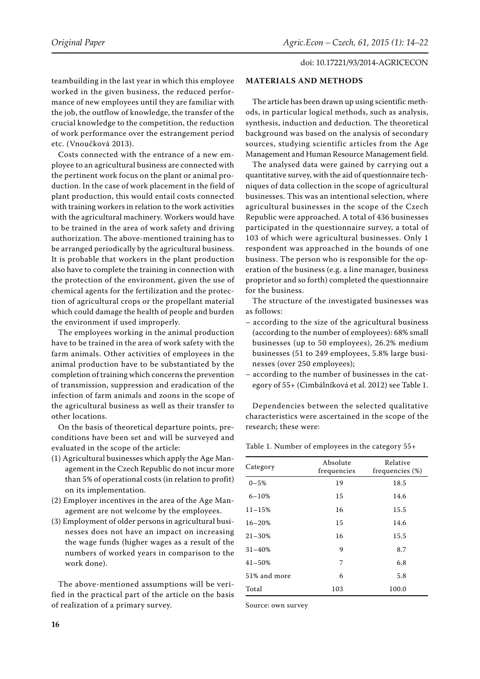teambuilding in the last year in which this employee worked in the given business, the reduced performance of new employees until they are familiar with the job, the outflow of knowledge, the transfer of the crucial knowledge to the competition, the reduction of work performance over the estrangement period etc. (Vnoučková 2013).

Costs connected with the entrance of a new employee to an agricultural business are connected with the pertinent work focus on the plant or animal production. In the case of work placement in the field of plant production, this would entail costs connected with training workers in relation to the work activities with the agricultural machinery. Workers would have to be trained in the area of work safety and driving authorization. The above-mentioned training has to be arranged periodically by the agricultural business. It is probable that workers in the plant production also have to complete the training in connection with the protection of the environment, given the use of chemical agents for the fertilization and the protection of agricultural crops or the propellant material which could damage the health of people and burden the environment if used improperly.

The employees working in the animal production have to be trained in the area of work safety with the farm animals. Other activities of employees in the animal production have to be substantiated by the completion of training which concerns the prevention of transmission, suppression and eradication of the infection of farm animals and zoons in the scope of the agricultural business as well as their transfer to other locations.

On the basis of theoretical departure points, preconditions have been set and will be surveyed and evaluated in the scope of the article:

- (1) Agricultural businesses which apply the Age Management in the Czech Republic do not incur more than 5% of operational costs (in relation to profit) on its implementation.
- (2) Employer incentives in the area of the Age Management are not welcome by the employees.
- (3) Employment of older persons in agricultural businesses does not have an impact on increasing the wage funds (higher wages as a result of the numbers of worked years in comparison to the work done).

The above-mentioned assumptions will be verified in the practical part of the article on the basis of realization of a primary survey.

# **MATERIALS AND METHODS**

The article has been drawn up using scientific methods, in particular logical methods, such as analysis, synthesis, induction and deduction. The theoretical background was based on the analysis of secondary sources, studying scientific articles from the Age Management and Human Resource Management field.

The analysed data were gained by carrying out a quantitative survey, with the aid of questionnaire techniques of data collection in the scope of agricultural businesses. This was an intentional selection, where agricultural businesses in the scope of the Czech Republic were approached. A total of 436 businesses participated in the questionnaire survey, a total of 103 of which were agricultural businesses. Only 1 respondent was approached in the bounds of one business. The person who is responsible for the operation of the business (e.g. a line manager, business proprietor and so forth) completed the questionnaire for the business.

The structure of the investigated businesses was as follows:

- according to the size of the agricultural business (according to the number of employees): 68% small businesses (up to 50 employees), 26.2% medium businesses (51 to 249 employees, 5.8% large businesses (over 250 employees);
- according to the number of businesses in the category of 55+ (Cimbálníková et al. 2012) see Table 1.

Dependencies between the selected qualitative characteristics were ascertained in the scope of the research; these were:

| Category     | Absolute<br>frequencies | Relative<br>frequencies (%) |
|--------------|-------------------------|-----------------------------|
| $0 - 5%$     | 19                      | 18.5                        |
| $6 - 10%$    | 15                      | 14.6                        |
| $11 - 15%$   | 16                      | 15.5                        |
| $16 - 20%$   | 15                      | 14.6                        |
| $21 - 30%$   | 16                      | 15.5                        |
| 31-40%       | 9                       | 8.7                         |
| $41 - 50%$   | 7                       | 6.8                         |
| 51% and more | 6                       | 5.8                         |
| Total        | 103                     | 100.0                       |

Table 1. Number of employees in the category 55+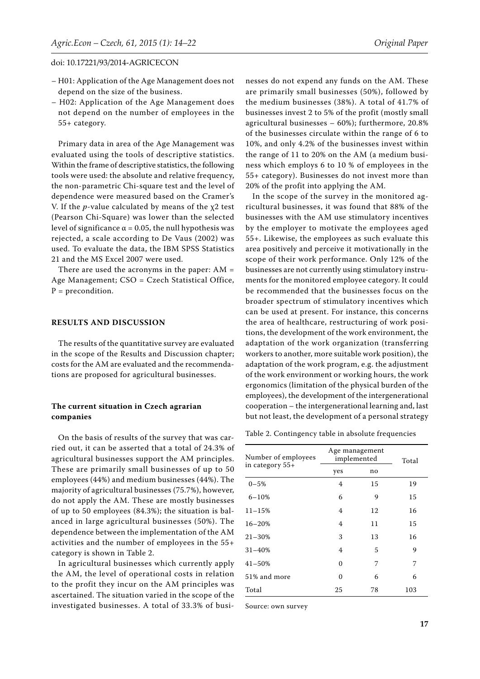- H01: Application of the Age Management does not depend on the size of the business.
- H02: Application of the Age Management does not depend on the number of employees in the 55+ category.

Primary data in area of the Age Management was evaluated using the tools of descriptive statistics. Within the frame of descriptive statistics, the following tools were used: the absolute and relative frequency, the non-parametric Chi-square test and the level of dependence were measured based on the Cramer's V. If the *p*-value calculated by means of the χ2 test (Pearson Chi-Square) was lower than the selected level of significance  $α = 0.05$ , the null hypothesis was rejected, a scale according to De Vaus (2002) was used. To evaluate the data, the IBM SPSS Statistics 21 and the MS Excel 2007 were used.

There are used the acronyms in the paper:  $AM =$ Age Management; CSO = Czech Statistical Office,  $P = precondition.$ 

# **RESULTS AND DISCUSSION**

The results of the quantitative survey are evaluated in the scope of the Results and Discussion chapter; costs for the AM are evaluated and the recommendations are proposed for agricultural businesses.

# **The current situation in Czech agrarian companies**

On the basis of results of the survey that was carried out, it can be asserted that a total of 24.3% of agricultural businesses support the AM principles. These are primarily small businesses of up to 50 employees (44%) and medium businesses (44%). The majority of agricultural businesses (75.7%), however, do not apply the AM. These are mostly businesses of up to 50 employees (84.3%); the situation is balanced in large agricultural businesses (50%). The dependence between the implementation of the AM activities and the number of employees in the 55+ category is shown in Table 2.

In agricultural businesses which currently apply the AM, the level of operational costs in relation to the profit they incur on the AM principles was ascertained. The situation varied in the scope of the investigated businesses. A total of 33.3% of busi-

nesses do not expend any funds on the AM. These are primarily small businesses (50%), followed by the medium businesses (38%). A total of 41.7% of businesses invest 2 to 5% of the profit (mostly small agricultural businesses – 60%); furthermore, 20.8% of the businesses circulate within the range of 6 to 10%, and only 4.2% of the businesses invest within the range of 11 to 20% on the AM (a medium business which employs 6 to 10 % of employees in the 55+ category). Businesses do not invest more than 20% of the profit into applying the AM.

In the scope of the survey in the monitored agricultural businesses, it was found that 88% of the businesses with the AM use stimulatory incentives by the employer to motivate the employees aged 55+. Likewise, the employees as such evaluate this area positively and perceive it motivationally in the scope of their work performance. Only 12% of the businesses are not currently using stimulatory instruments for the monitored employee category. It could be recommended that the businesses focus on the broader spectrum of stimulatory incentives which can be used at present. For instance, this concerns the area of healthcare, restructuring of work positions, the development of the work environment, the adaptation of the work organization (transferring workers to another, more suitable work position), the adaptation of the work program, e.g. the adjustment of the work environment or working hours, the work ergonomics (limitation of the physical burden of the employees), the development of the intergenerational cooperation – the intergenerational learning and, last but not least, the development of a personal strategy

Table 2. Contingency table in absolute frequencies

| Number of employees<br>in category $55+$ | Age management<br>implemented | Total |     |
|------------------------------------------|-------------------------------|-------|-----|
|                                          | yes                           | no    |     |
| $0 - 5%$                                 | 4                             | 15    | 19  |
| $6 - 10%$                                | 6                             | 9     | 15  |
| $11 - 15%$                               | 4                             | 12    | 16  |
| $16 - 20%$                               | 4                             | 11    | 15  |
| $21 - 30\%$                              | 3                             | 13    | 16  |
| $31 - 40%$                               | 4                             | 5     | 9   |
| $41 - 50%$                               | $\Omega$                      | 7     | 7   |
| 51% and more                             | 0                             | 6     | 6   |
| Total                                    | 25                            | 78    | 103 |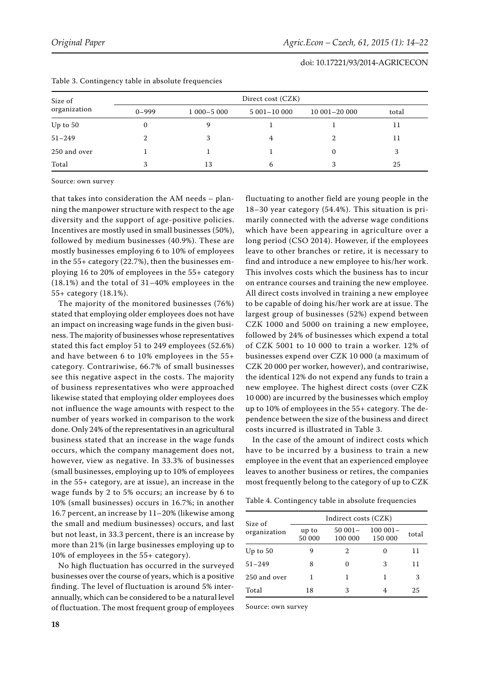| Size of<br>organization | Direct cost (CZK) |             |                |                 |       |
|-------------------------|-------------------|-------------|----------------|-----------------|-------|
|                         | $0 - 999$         | 1 000-5 000 | 5 001 - 10 000 | $10001 - 20000$ | total |
| Up to $50$              | $\Omega$          |             |                |                 | 11    |
| $51 - 249$              | 2                 | 3           | 4              |                 | 11    |
| 250 and over            |                   |             |                | 0               | 3     |
| Total                   | 3                 | 13          | 6              | 3               | 25    |

#### Table 3. Contingency table in absolute frequencies

Source: own survey

that takes into consideration the AM needs – planning the manpower structure with respect to the age diversity and the support of age-positive policies. Incentives are mostly used in small businesses (50%), followed by medium businesses (40.9%). These are mostly businesses employing 6 to 10% of employees in the 55+ category (22.7%), then the businesses employing 16 to 20% of employees in the 55+ category (18.1%) and the total of 31–40% employees in the 55+ category (18.1%).

The majority of the monitored businesses (76%) stated that employing older employees does not have an impact on increasing wage funds in the given business. The majority of businesses whose representatives stated this fact employ 51 to 249 employees (52.6%) and have between 6 to 10% employees in the 55+ category. Contrariwise, 66.7% of small businesses see this negative aspect in the costs. The majority of business representatives who were approached likewise stated that employing older employees does not influence the wage amounts with respect to the number of years worked in comparison to the work done. Only 24% of the representatives in an agricultural business stated that an increase in the wage funds occurs, which the company management does not, however, view as negative. In 33.3% of businesses (small businesses, employing up to 10% of employees in the 55+ category, are at issue), an increase in the wage funds by 2 to 5% occurs; an increase by 6 to 10% (small businesses) occurs in 16.7%; in another 16.7 percent, an increase by 11–20% (likewise among the small and medium businesses) occurs, and last but not least, in 33.3 percent, there is an increase by more than 21% (in large businesses employing up to 10% of employees in the 55+ category).

No high fluctuation has occurred in the surveyed businesses over the course of years, which is a positive finding. The level of fluctuation is around 5% interannually, which can be considered to be a natural level of fluctuation. The most frequent group of employees fluctuating to another field are young people in the 18–30 year category (54.4%). This situation is primarily connected with the adverse wage conditions which have been appearing in agriculture over a long period (CSO 2014). However, if the employees leave to other branches or retire, it is necessary to find and introduce a new employee to his/her work. This involves costs which the business has to incur on entrance courses and training the new employee. All direct costs involved in training a new employee to be capable of doing his/her work are at issue. The largest group of businesses (52%) expend between CZK 1000 and 5000 on training a new employee, followed by 24% of businesses which expend a total of CZK 5001 to 10 000 to train a worker. 12% of businesses expend over CZK 10 000 (a maximum of CZK 20 000 per worker, however), and contrariwise, the identical 12% do not expend any funds to train a new employee. The highest direct costs (over CZK 10 000) are incurred by the businesses which employ up to 10% of employees in the 55+ category. The dependence between the size of the business and direct costs incurred is illustrated in Table 3.

In the case of the amount of indirect costs which have to be incurred by a business to train a new employee in the event that an experienced employee leaves to another business or retires, the companies most frequently belong to the category of up to CZK

Table 4. Contingency table in absolute frequencies

| Size of<br>organization | Indirect costs (CZK) |                      |                      |       |  |
|-------------------------|----------------------|----------------------|----------------------|-------|--|
|                         | up to<br>50 000      | $50001 -$<br>100 000 | $100001-$<br>150 000 | total |  |
| Up to $50$              | 9                    | 2                    |                      | 11    |  |
| $51 - 249$              | 8                    | Ω                    | 3                    | 11    |  |
| 250 and over            | 1                    | 1                    | 1                    | 3     |  |
| Total                   | 18                   | 3                    |                      | 25    |  |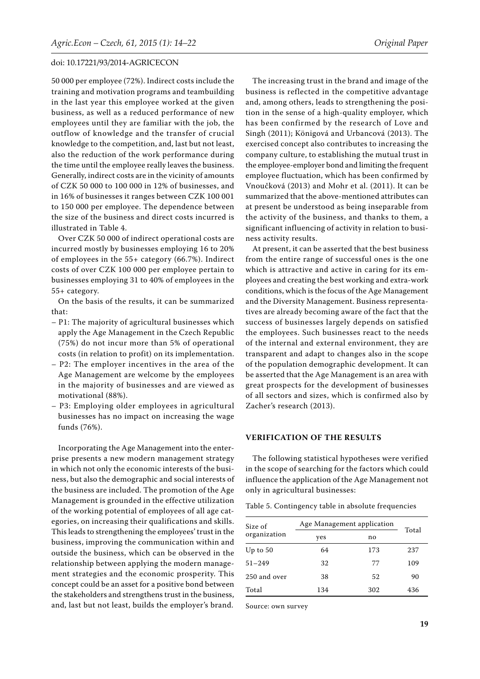50 000 per employee (72%). Indirect costs include the training and motivation programs and teambuilding in the last year this employee worked at the given business, as well as a reduced performance of new employees until they are familiar with the job, the outflow of knowledge and the transfer of crucial knowledge to the competition, and, last but not least, also the reduction of the work performance during the time until the employee really leaves the business. Generally, indirect costs are in the vicinity of amounts of CZK 50 000 to 100 000 in 12% of businesses, and in 16% of businesses it ranges between CZK 100 001 to 150 000 per employee. The dependence between the size of the business and direct costs incurred is illustrated in Table 4.

Over CZK 50 000 of indirect operational costs are incurred mostly by businesses employing 16 to 20% of employees in the 55+ category (66.7%). Indirect costs of over CZK 100 000 per employee pertain to businesses employing 31 to 40% of employees in the 55+ category.

On the basis of the results, it can be summarized that:

- P1: The majority of agricultural businesses which apply the Age Management in the Czech Republic (75%) do not incur more than 5% of operational costs (in relation to profit) on its implementation.
- P2: The employer incentives in the area of the Age Management are welcome by the employees in the majority of businesses and are viewed as motivational (88%).
- P3: Employing older employees in agricultural businesses has no impact on increasing the wage funds (76%).

Incorporating the Age Management into the enterprise presents a new modern management strategy in which not only the economic interests of the business, but also the demographic and social interests of the business are included. The promotion of the Age Management is grounded in the effective utilization of the working potential of employees of all age categories, on increasing their qualifications and skills. This leads to strengthening the employees' trust in the business, improving the communication within and outside the business, which can be observed in the relationship between applying the modern management strategies and the economic prosperity. This concept could be an asset for a positive bond between the stakeholders and strengthens trust in the business, and, last but not least, builds the employer's brand.

The increasing trust in the brand and image of the business is reflected in the competitive advantage and, among others, leads to strengthening the position in the sense of a high-quality employer, which has been confirmed by the research of Love and Singh (2011); Königová and Urbancová (2013). The exercised concept also contributes to increasing the company culture, to establishing the mutual trust in the employee-employer bond and limiting the frequent employee fluctuation, which has been confirmed by Vnoučková (2013) and Mohr et al. (2011). It can be summarized that the above-mentioned attributes can at present be understood as being inseparable from the activity of the business, and thanks to them, a significant influencing of activity in relation to business activity results.

At present, it can be asserted that the best business from the entire range of successful ones is the one which is attractive and active in caring for its employees and creating the best working and extra-work conditions, which is the focus of the Age Management and the Diversity Management. Business representatives are already becoming aware of the fact that the success of businesses largely depends on satisfied the employees. Such businesses react to the needs of the internal and external environment, they are transparent and adapt to changes also in the scope of the population demographic development. It can be asserted that the Age Management is an area with great prospects for the development of businesses of all sectors and sizes, which is confirmed also by Zacher's research (2013).

# **VERIFICATION OF THE RESULTS**

The following statistical hypotheses were verified in the scope of searching for the factors which could influence the application of the Age Management not only in agricultural businesses:

Table 5. Contingency table in absolute frequencies

| Size of<br>organization | Age Management application | Total |     |
|-------------------------|----------------------------|-------|-----|
|                         | yes                        | no    |     |
| Up to $50$              | 64                         | 173   | 237 |
| $51 - 249$              | 32                         | 77    | 109 |
| 250 and over            | 38                         | 52    | 90  |
| Total                   | 134                        | 302   | 436 |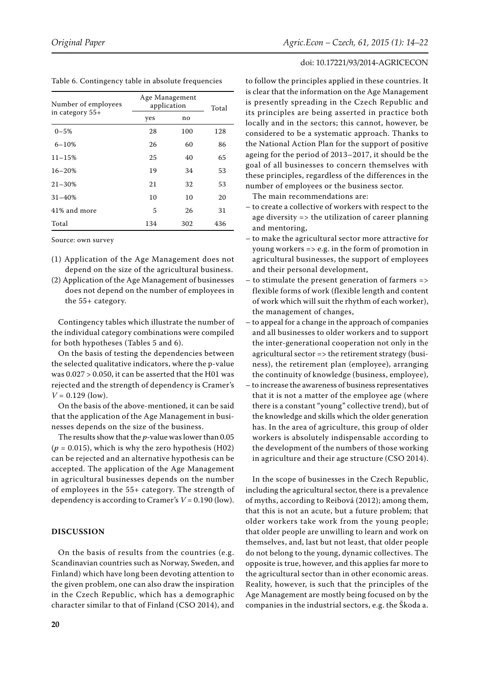| doi: 10.17221/93/2014-AGRICECON |  |
|---------------------------------|--|
|---------------------------------|--|

| Number of employees | Age Management<br>application |     | Total |
|---------------------|-------------------------------|-----|-------|
| in category $55+$   | yes                           | no  |       |
| $0 - 5%$            | 28                            | 100 | 128   |
| $6 - 10%$           | 26                            | 60  | 86    |
| $11 - 15%$          | 25                            | 40  | 65    |
| $16 - 20%$          | 19                            | 34  | 53    |
| $21 - 30%$          | 21                            | 32  | 53    |
| $31 - 40%$          | 10                            | 10  | 20    |
| 41% and more        | 5                             | 26  | 31    |
| Total               | 134                           | 302 | 436   |

Source: own survey

- (1) Application of the Age Management does not depend on the size of the agricultural business.
- (2) Application of the Age Management of businesses does not depend on the number of employees in the 55+ category.

Contingency tables which illustrate the number of the individual category combinations were compiled for both hypotheses (Tables 5 and 6).

On the basis of testing the dependencies between the selected qualitative indicators, where the p-value was 0.027 > 0.050, it can be asserted that the H01 was rejected and the strength of dependency is Cramer's  $V = 0.129$  (low).

On the basis of the above-mentioned, it can be said that the application of the Age Management in businesses depends on the size of the business.

The results show that the *p*-value was lower than 0.05  $(p = 0.015)$ , which is why the zero hypothesis (H02) can be rejected and an alternative hypothesis can be accepted. The application of the Age Management in agricultural businesses depends on the number of employees in the 55+ category. The strength of dependency is according to Cramer's *V* = 0.190 (low).

#### **DISCUSSION**

On the basis of results from the countries (e.g. Scandinavian countries such as Norway, Sweden, and Finland) which have long been devoting attention to the given problem, one can also draw the inspiration in the Czech Republic, which has a demographic character similar to that of Finland (CSO 2014), and

to follow the principles applied in these countries. It is clear that the information on the Age Management is presently spreading in the Czech Republic and its principles are being asserted in practice both locally and in the sectors; this cannot, however, be considered to be a systematic approach. Thanks to the National Action Plan for the support of positive ageing for the period of 2013–2017, it should be the goal of all businesses to concern themselves with these principles, regardless of the differences in the number of employees or the business sector.

The main recommendations are:

– to create a collective of workers with respect to the age diversity => the utilization of career planning and mentoring,

- to make the agricultural sector more attractive for young workers => e.g. in the form of promotion in agricultural businesses, the support of employees and their personal development,
- to stimulate the present generation of farmers => flexible forms of work (flexible length and content of work which will suit the rhythm of each worker), the management of changes,
- to appeal for a change in the approach of companies and all businesses to older workers and to support the inter-generational cooperation not only in the agricultural sector => the retirement strategy (business), the retirement plan (employee), arranging the continuity of knowledge (business, employee),
- to increase the awareness of business representatives that it is not a matter of the employee age (where there is a constant "young" collective trend), but of the knowledge and skills which the older generation has. In the area of agriculture, this group of older workers is absolutely indispensable according to the development of the numbers of those working in agriculture and their age structure (CSO 2014).

In the scope of businesses in the Czech Republic, including the agricultural sector, there is a prevalence of myths, according to Reibová (2012); among them, that this is not an acute, but a future problem; that older workers take work from the young people; that older people are unwilling to learn and work on themselves, and, last but not least, that older people do not belong to the young, dynamic collectives. The opposite is true, however, and this applies far more to the agricultural sector than in other economic areas. Reality, however, is such that the principles of the Age Management are mostly being focused on by the companies in the industrial sectors, e.g. the Škoda a.

## Table 6. Contingency table in absolute frequencies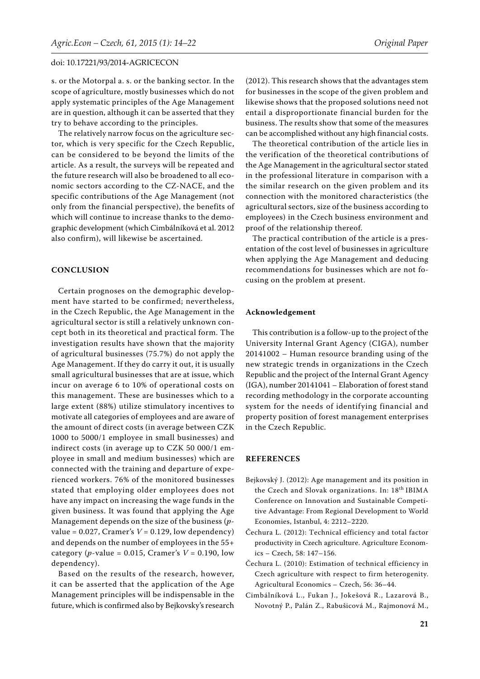s. or the Motorpal a. s. or the banking sector. In the scope of agriculture, mostly businesses which do not apply systematic principles of the Age Management are in question, although it can be asserted that they try to behave according to the principles.

The relatively narrow focus on the agriculture sector, which is very specific for the Czech Republic, can be considered to be beyond the limits of the article. As a result, the surveys will be repeated and the future research will also be broadened to all economic sectors according to the CZ-NACE, and the specific contributions of the Age Management (not only from the financial perspective), the benefits of which will continue to increase thanks to the demographic development (which Cimbálníková et al. 2012 also confirm), will likewise be ascertained.

# **CONCLUSION**

Certain prognoses on the demographic development have started to be confirmed; nevertheless, in the Czech Republic, the Age Management in the agricultural sector is still a relatively unknown concept both in its theoretical and practical form. The investigation results have shown that the majority of agricultural businesses (75.7%) do not apply the Age Management. If they do carry it out, it is usually small agricultural businesses that are at issue, which incur on average 6 to 10% of operational costs on this management. These are businesses which to a large extent (88%) utilize stimulatory incentives to motivate all categories of employees and are aware of the amount of direct costs (in average between CZK 1000 to 5000/1 employee in small businesses) and indirect costs (in average up to CZK 50 000/1 employee in small and medium businesses) which are connected with the training and departure of experienced workers. 76% of the monitored businesses stated that employing older employees does not have any impact on increasing the wage funds in the given business. It was found that applying the Age Management depends on the size of the business (*p*value =  $0.027$ , Cramer's  $V = 0.129$ , low dependency) and depends on the number of employees in the 55+ category ( $p$ -value = 0.015, Cramer's  $V = 0.190$ , low dependency).

Based on the results of the research, however, it can be asserted that the application of the Age Management principles will be indispensable in the future, which is confirmed also by Bejkovsky's research

(2012). This research shows that the advantages stem for businesses in the scope of the given problem and likewise shows that the proposed solutions need not entail a disproportionate financial burden for the business. The results show that some of the measures can be accomplished without any high financial costs.

The theoretical contribution of the article lies in the verification of the theoretical contributions of the Age Management in the agricultural sector stated in the professional literature in comparison with a the similar research on the given problem and its connection with the monitored characteristics (the agricultural sectors, size of the business according to employees) in the Czech business environment and proof of the relationship thereof.

The practical contribution of the article is a presentation of the cost level of businesses in agriculture when applying the Age Management and deducing recommendations for businesses which are not focusing on the problem at present.

# **Acknowledgement**

This contribution is a follow-up to the project of the University Internal Grant Agency (CIGA), number 20141002 – Human resource branding using of the new strategic trends in organizations in the Czech Republic and the project of the Internal Grant Agency (IGA), number 20141041 – Elaboration of forest stand recording methodology in the corporate accounting system for the needs of identifying financial and property position of forest management enterprises in the Czech Republic.

## **REFERENCES**

- Bejkovský J. (2012): Age management and its position in the Czech and Slovak organizations. In: 18th IBIMA Conference on Innovation and Sustainable Competitive Advantage: From Regional Development to World Economies, Istanbul, 4: 2212–2220.
- Čechura L. (2012): Technical efficiency and total factor productivity in Czech agriculture. Agriculture Economics – Czech, 58: 147–156.
- Čechura L. (2010): Estimation of technical efficiency in Czech agriculture with respect to firm heterogenity. Agricultural Economics – Czech, 56: 36–44.
- Cimbálníková L., Fukan J., Jokešová R., Lazarová B., Novotný P., Palán Z., Rabušicová M., Rajmonová M.,